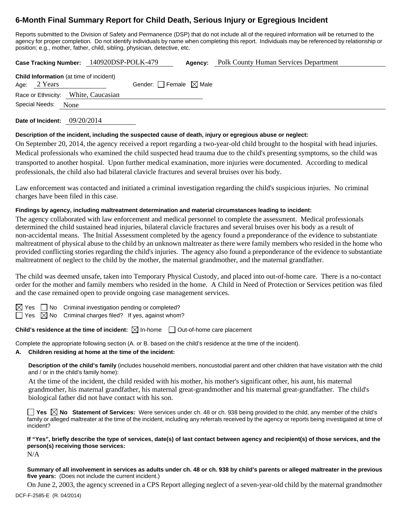# **6-Month Final Summary Report for Child Death, Serious Injury or Egregious Incident**

Reports submitted to the Division of Safety and Permanence (DSP) that do not include all of the required information will be returned to the agency for proper completion. Do not identify individuals by name when completing this report. Individuals may be referenced by relationship or position; e.g., mother, father, child, sibling, physician, detective, etc.

**Case Tracking Number:** 140920DSP-POLK-479 **Agency:** Polk County Human Services Department

| Age: 2 Years   | <b>Child Information</b> (at time of incident) | Gender: $\Box$ Female $\boxtimes$ Male |  |
|----------------|------------------------------------------------|----------------------------------------|--|
|                | Race or Ethnicity: White, Caucasian            |                                        |  |
| Special Needs: | None                                           |                                        |  |

**Date of Incident:** 09/20/2014

## **Description of the incident, including the suspected cause of death, injury or egregious abuse or neglect:**

On September 20, 2014, the agency received a report regarding a two-year-old child brought to the hospital with head injuries. Medical professionals who examined the child suspected head trauma due to the child's presenting symptoms, so the child was transported to another hospital. Upon further medical examination, more injuries were documented. According to medical professionals, the child also had bilateral clavicle fractures and several bruises over his body.

Law enforcement was contacted and initiated a criminal investigation regarding the child's suspicious injuries. No criminal charges have been filed in this case.

## **Findings by agency, including maltreatment determination and material circumstances leading to incident:**

The agency collaborated with law enforcement and medical personnel to complete the assessment. Medical professionals determined the child sustained head injuries, bilateral clavicle fractures and several bruises over his body as a result of non-accidental means. The Initial Assessment completed by the agency found a preponderance of the evidence to substantiate maltreatment of physical abuse to the child by an unknown maltreater as there were family members who resided in the home who provided conflicting stories regarding the child's injuries. The agency also found a preponderance of the evidence to substantiate maltreatment of neglect to the child by the mother, the maternal grandmother, and the maternal grandfather.

The child was deemed unsafe, taken into Temporary Physical Custody, and placed into out-of-home care. There is a no-contact order for the mother and family members who resided in the home. A Child in Need of Protection or Services petition was filed and the case remained open to provide ongoing case management services.

 $\Box$  No Criminal investigation pending or completed?

 $\Box$  Yes  $\boxtimes$  No Criminal charges filed? If yes, against whom?

## **Child's residence at the time of incident:**  $\boxtimes$  In-home  $\Box$  Out-of-home care placement

Complete the appropriate following section (A. or B. based on the child's residence at the time of the incident).

## **A. Children residing at home at the time of the incident:**

**Description of the child's family** (includes household members, noncustodial parent and other children that have visitation with the child and / or in the child's family home):

 At the time of the incident, the child resided with his mother, his mother's significant other, his aunt, his maternal grandmother, his maternal grandfather, his maternal great-grandmother and his maternal great-grandfather. The child's biological father did not have contact with his son.

**Yes No Statement of Services:** Were services under ch. 48 or ch. 938 being provided to the child, any member of the child's family or alleged maltreater at the time of the incident, including any referrals received by the agency or reports being investigated at time of incident?

**If "Yes", briefly describe the type of services, date(s) of last contact between agency and recipient(s) of those services, and the person(s) receiving those services:** 

N/A

**Summary of all involvement in services as adults under ch. 48 or ch. 938 by child's parents or alleged maltreater in the previous five years:** (Does not include the current incident.)

On June 2, 2003, the agency screened in a CPS Report alleging neglect of a seven-year-old child by the maternal grandmother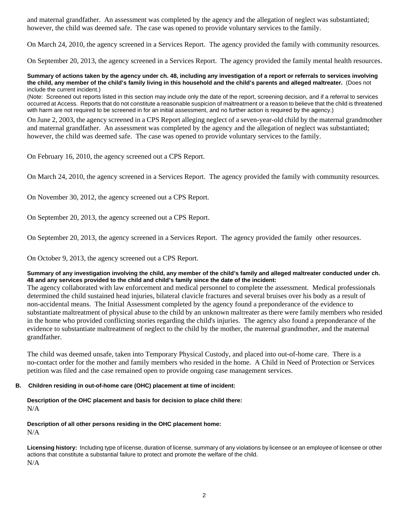and maternal grandfather. An assessment was completed by the agency and the allegation of neglect was substantiated; however, the child was deemed safe. The case was opened to provide voluntary services to the family.

On March 24, 2010, the agency screened in a Services Report. The agency provided the family with community resources.

On September 20, 2013, the agency screened in a Services Report. The agency provided the family mental health resources.

#### **Summary of actions taken by the agency under ch. 48, including any investigation of a report or referrals to services involving the child, any member of the child's family living in this household and the child's parents and alleged maltreater.** (Does not include the current incident.)

(Note: Screened out reports listed in this section may include only the date of the report, screening decision, and if a referral to services occurred at Access. Reports that do not constitute a reasonable suspicion of maltreatment or a reason to believe that the child is threatened with harm are not required to be screened in for an initial assessment, and no further action is required by the agency.)

On June 2, 2003, the agency screened in a CPS Report alleging neglect of a seven-year-old child by the maternal grandmother and maternal grandfather. An assessment was completed by the agency and the allegation of neglect was substantiated; however, the child was deemed safe. The case was opened to provide voluntary services to the family.

On February 16, 2010, the agency screened out a CPS Report.

On March 24, 2010, the agency screened in a Services Report. The agency provided the family with community resources.

On November 30, 2012, the agency screened out a CPS Report.

On September 20, 2013, the agency screened out a CPS Report.

On September 20, 2013, the agency screened in a Services Report. The agency provided the family other resources.

On October 9, 2013, the agency screened out a CPS Report.

#### **Summary of any investigation involving the child, any member of the child's family and alleged maltreater conducted under ch. 48 and any services provided to the child and child's family since the date of the incident:**

The agency collaborated with law enforcement and medical personnel to complete the assessment. Medical professionals determined the child sustained head injuries, bilateral clavicle fractures and several bruises over his body as a result of non-accidental means. The Initial Assessment completed by the agency found a preponderance of the evidence to substantiate maltreatment of physical abuse to the child by an unknown maltreater as there were family members who resided in the home who provided conflicting stories regarding the child's injuries. The agency also found a preponderance of the evidence to substantiate maltreatment of neglect to the child by the mother, the maternal grandmother, and the maternal grandfather.

The child was deemed unsafe, taken into Temporary Physical Custody, and placed into out-of-home care. There is a no-contact order for the mother and family members who resided in the home. A Child in Need of Protection or Services petition was filed and the case remained open to provide ongoing case management services.

#### **B. Children residing in out-of-home care (OHC) placement at time of incident:**

**Description of the OHC placement and basis for decision to place child there:** N/A

**Description of all other persons residing in the OHC placement home:** N/A

**Licensing history:** Including type of license, duration of license, summary of any violations by licensee or an employee of licensee or other actions that constitute a substantial failure to protect and promote the welfare of the child. N/A